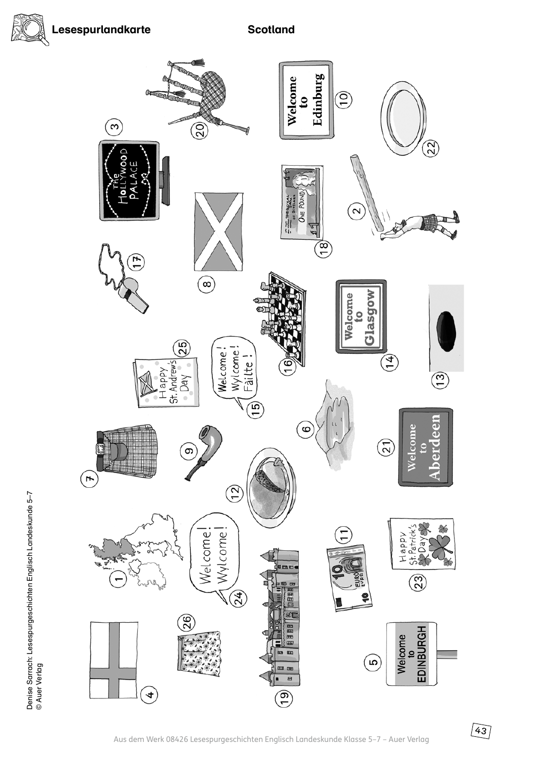



 $\boxed{43}$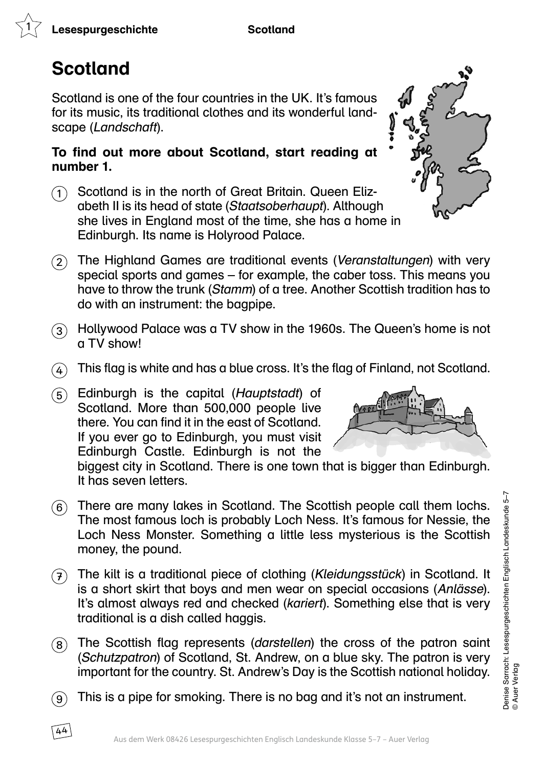# Scotland

 $(44)$ 

Scotland is one of the four countries in the UK. It's famous for its music, its traditional clothes and its wonderful landscape (Landschaft).

#### To find out more about Scotland, start reading at number 1.

- $(1)$  Scotland is in the north of Great Britain. Queen Elizabeth II is its head of state (Staatsoberhaupt). Although she lives in England most of the time, she has a home in Edinburgh. Its name is Holyrood Palace.
- $(2)$  The Highland Games are traditional events (Veranstaltungen) with very special sports and games – for example, the caber toss. This means you have to throw the trunk (Stamm) of a tree. Another Scottish tradition has to do with an instrument: the bagpipe.
- $\mathcal{F}(3)$  Hollywood Palace was a TV show in the 1960s. The Queen's home is not a TV show!
- $\overline{(4)}$  This flag is white and has a blue cross. It's the flag of Finland, not Scotland.
- $(5)$  Edinburgh is the capital (*Hauptstadt*) of Scotland. More than 500,000 people live there. You can find it in the east of Scotland. If you ever go to Edinburgh, you must visit Edinburgh Castle. Edinburgh is not the



biggest city in Scotland. There is one town that is bigger than Edinburgh. It has seven letters.

- $(6)$  There are many lakes in Scotland. The Scottish people call them lochs. The most famous loch is probably Loch Ness. It's famous for Nessie, the Loch Ness Monster. Something a little less mysterious is the Scottish money, the pound.
- $(7)$  The kilt is a traditional piece of clothing (Kleidungsstück) in Scotland. It is a short skirt that boys and men wear on special occasions (Anlässe). It's almost always red and checked (kariert). Something else that is very traditional is a dish called haggis.
- $\overline{8}$  The Scottish flag represents (darstellen) the cross of the patron saint (Schutzpatron) of Scotland, St. Andrew, on a blue sky. The patron is very important for the country. St. Andrew's Day is the Scottish national holiday.
- $\mathcal{F}(9)$  This is a pipe for smoking. There is no bag and it's not an instrument.

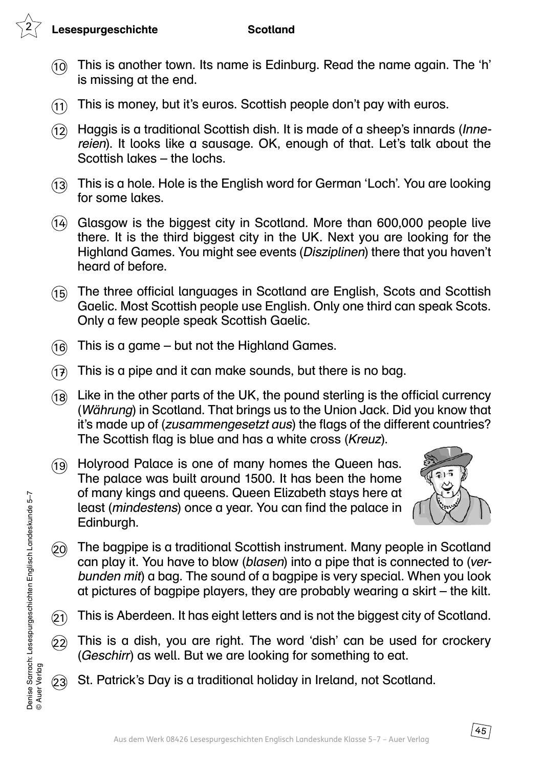#### Lesespurgeschichte Scotland

- $(10)$  This is another town. Its name is Edinburg. Read the name again. The 'h' is missing at the end.
- $(1)$  This is money, but it's euros. Scottish people don't pay with euros.
- $(12)$  Haggis is a traditional Scottish dish. It is made of a sheep's innards (*Inne*reien). It looks like a sausage. OK, enough of that. Let's talk about the Scottish lakes – the lochs.
- 13 This is a hole. Hole is the English word for German 'Loch'. You are looking for some lakes.
- 14 Glasgow is the biggest city in Scotland. More than 600,000 people live there. It is the third biggest city in the UK. Next you are looking for the Highland Games. You might see events (Disziplinen) there that you haven't heard of before.
- (15) The three official languages in Scotland are English, Scots and Scottish Gaelic. Most Scottish people use English. Only one third can speak Scots. Only a few people speak Scottish Gaelic.
- $(16)$  This is a game but not the Highland Games.
- $(1)$  This is a pipe and it can make sounds, but there is no bag.
- $(18)$  Like in the other parts of the UK, the pound sterling is the official currency (Währung) in Scotland. That brings us to the Union Jack. Did you know that it's made up of (zusammengesetzt aus) the flags of the different countries? The Scottish flag is blue and has a white cross (Kreuz).
- 19 Holyrood Palace is one of many homes the Queen has. The palace was built around 1500. It has been the home of many kings and queens. Queen Elizabeth stays here at least (mindestens) once a year. You can find the palace in Edinburgh.



- 20 The bagpipe is a traditional Scottish instrument. Many people in Scotland can play it. You have to blow (blasen) into a pipe that is connected to (verbunden mit) a bag. The sound of a bagpipe is very special. When you look at pictures of bagpipe players, they are probably wearing a skirt – the kilt.
- $(2)$  This is Aberdeen. It has eight letters and is not the biggest city of Scotland.
- $(2)$  This is a dish, you are right. The word 'dish' can be used for crockery (Geschirr) as well. But we are looking for something to eat.
- 23 St. Patrick's Day is a traditional holiday in Ireland, not Scotland.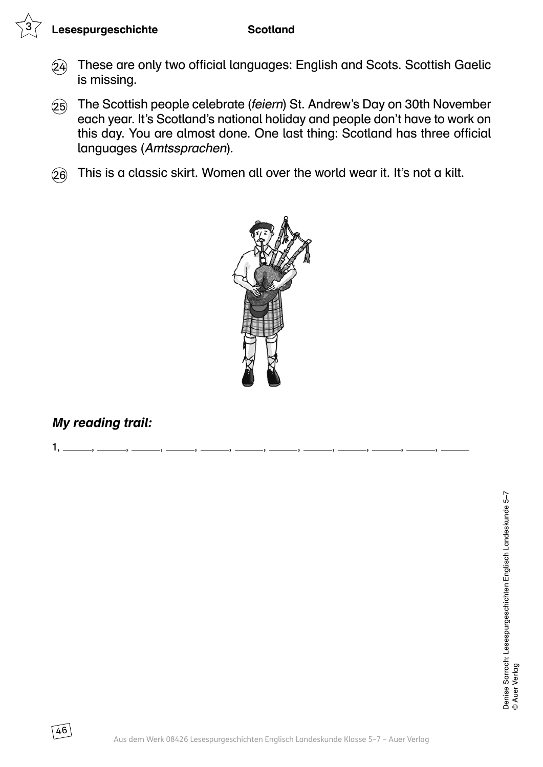### Lesespurgeschichte Scotland

- 24 These are only two official languages: English and Scots. Scottish Gaelic is missing.
- 25 The Scottish people celebrate (feiern) St. Andrew's Day on 30th November each year. It's Scotland's national holiday and people don't have to work on this day. You are almost done. One last thing: Scotland has three official languages (Amtssprachen).
- $(26)$  This is a classic skirt. Women all over the world wear it. It's not a kilt.



 $1, \_\_\_\,,\_\_\_\,,\_\_\_\,,\_\_\_\,,\_\_\_\,,\_\_\_\,,\_\_\_$ 

## My reading trail:

 $46$